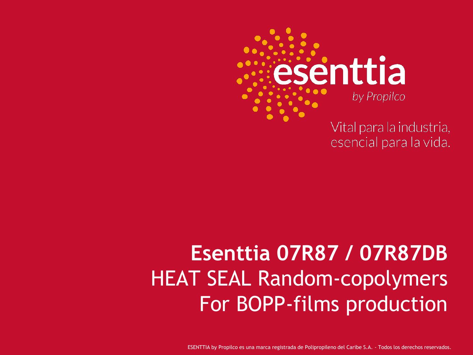

Vital para la industria, esencial para la vida.

### **Esenttia 07R87 / 07R87DB** HEAT SEAL Random-copolymers For BOPP-films production

ESENTTIA by Propilco es una marca registrada de Polipropileno del Caribe S.A. - Todos los derechos reservados.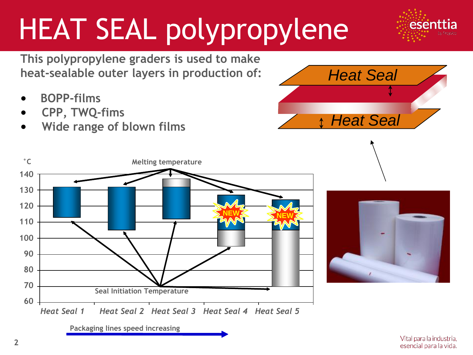# HEAT SEAL polypropylene

**This polypropylene graders is used to make heat-sealable outer layers in production of:**

- **BOPP-films**
- **CPP, TWQ-fims**
- **Wide range of blown films**







esenttia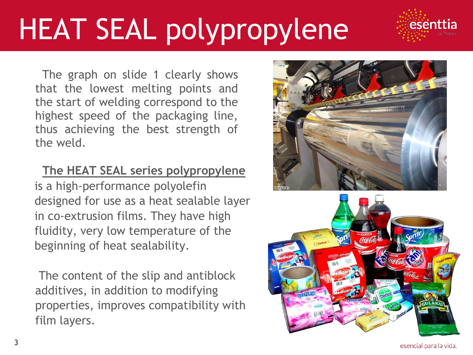# HEAT SEAL polypropylene

The graph on slide 1 clearly shows that the lowest melting points and the start of welding correspond to the highest speed of the packaging line, thus achieving the best strength of the weld.

**The HEAT SEAL series polypropylene** is a high-performance polyolefin designed for use as a heat sealable layer in co-extrusion films. They have high fluidity, very low temperature of the beginning of heat sealability.

The content of the slip and antiblock additives, in addition to modifying properties, improves compatibility with film layers.





esenttia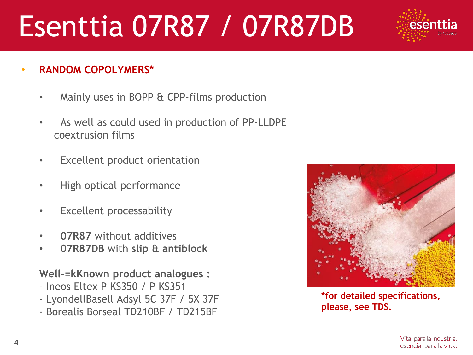## Esenttia 07R87 / 07R87DB

- **RANDOM COPOLYMERS\***
	- Mainly uses in BOPP & CPP-films production
	- As well as could used in production of PP-LLDPE coextrusion films
	- Excellent product orientation
	- High optical performance
	- Excellent processability
	- **07R87** without additives
	- **07R87DB** with **slip** & **antiblock**

**Well-=kKnown product analogues :** 

- Ineos Eltex P KS350 / P KS351
- LyondellBasell Adsyl 5C 37F / 5X 37F
- Borealis Borseal TD210BF / TD215BF



**\*for detailed specifications, please, see TDS.**

esent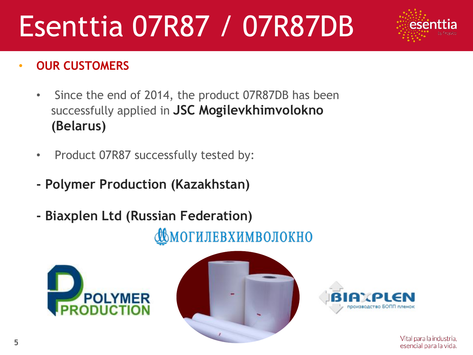## Esenttia 07R87 / 07R87DB

#### • **OUR CUSTOMERS**

- Since the end of 2014, the product 07R87DB has been successfully applied in **JSC Mogilevkhimvolokno (Belarus)**
- Product 07R87 successfully tested by:
- **- Polymer Production (Kazakhstan)**
- **- Biaxplen Ltd (Russian Federation)**

МОГИЛЕВХИМВОЛОКНО







Vital para la industria, esencial para la vida.

esent